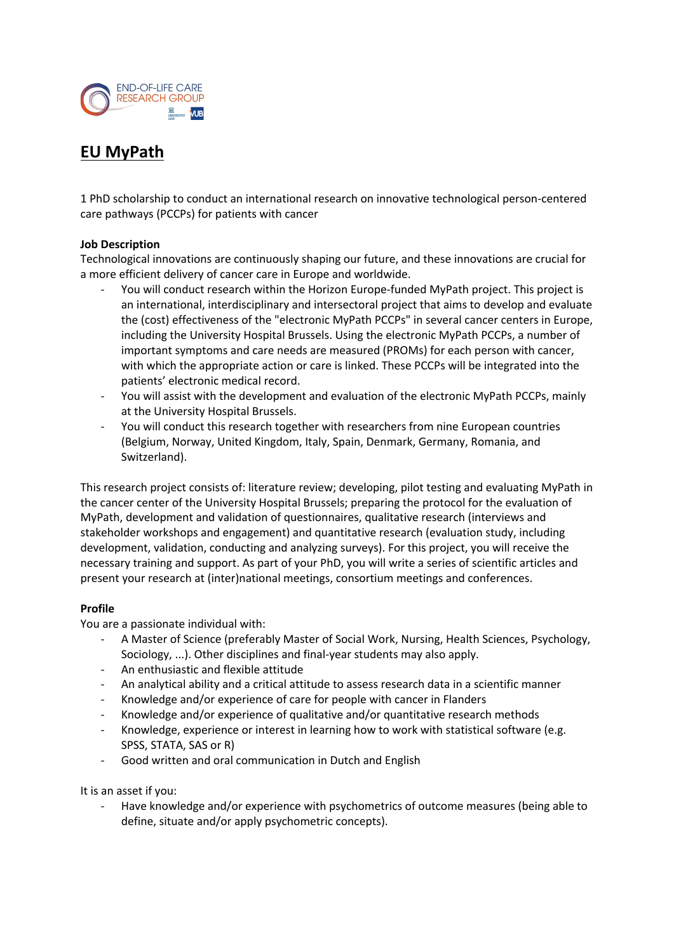

# **EU MyPath**

1 PhD scholarship to conduct an international research on innovative technological person-centered care pathways (PCCPs) for patients with cancer

## **Job Description**

Technological innovations are continuously shaping our future, and these innovations are crucial for a more efficient delivery of cancer care in Europe and worldwide.

- You will conduct research within the Horizon Europe-funded MyPath project. This project is an international, interdisciplinary and intersectoral project that aims to develop and evaluate the (cost) effectiveness of the "electronic MyPath PCCPs" in several cancer centers in Europe, including the University Hospital Brussels. Using the electronic MyPath PCCPs, a number of important symptoms and care needs are measured (PROMs) for each person with cancer, with which the appropriate action or care is linked. These PCCPs will be integrated into the patients' electronic medical record.
- You will assist with the development and evaluation of the electronic MyPath PCCPs, mainly at the University Hospital Brussels.
- You will conduct this research together with researchers from nine European countries (Belgium, Norway, United Kingdom, Italy, Spain, Denmark, Germany, Romania, and Switzerland).

This research project consists of: literature review; developing, pilot testing and evaluating MyPath in the cancer center of the University Hospital Brussels; preparing the protocol for the evaluation of MyPath, development and validation of questionnaires, qualitative research (interviews and stakeholder workshops and engagement) and quantitative research (evaluation study, including development, validation, conducting and analyzing surveys). For this project, you will receive the necessary training and support. As part of your PhD, you will write a series of scientific articles and present your research at (inter)national meetings, consortium meetings and conferences.

# **Profile**

You are a passionate individual with:

- A Master of Science (preferably Master of Social Work, Nursing, Health Sciences, Psychology, Sociology, ...). Other disciplines and final-year students may also apply.
- An enthusiastic and flexible attitude
- An analytical ability and a critical attitude to assess research data in a scientific manner
- Knowledge and/or experience of care for people with cancer in Flanders
- Knowledge and/or experience of qualitative and/or quantitative research methods
- Knowledge, experience or interest in learning how to work with statistical software (e.g. SPSS, STATA, SAS or R)
- Good written and oral communication in Dutch and English

It is an asset if you:

Have knowledge and/or experience with psychometrics of outcome measures (being able to define, situate and/or apply psychometric concepts).